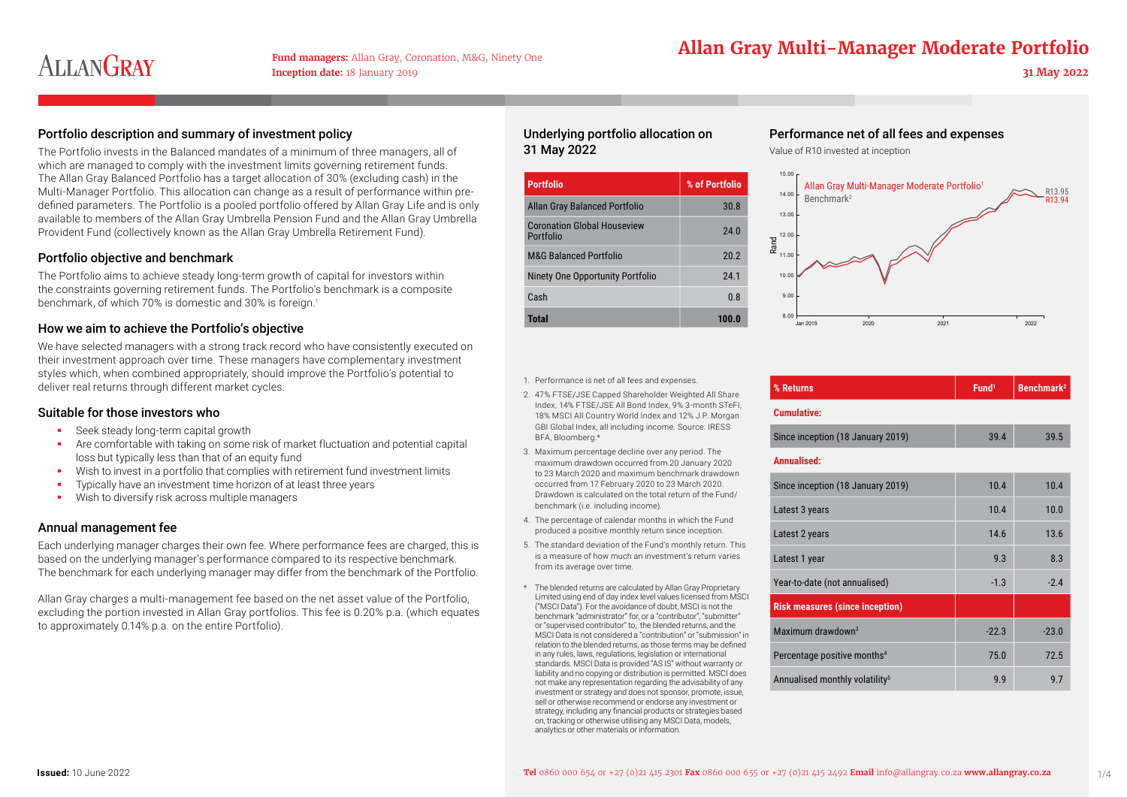# **Allan Gray Multi-Manager Moderate Portfolio**

# Portfolio description and summary of investment policy

The Portfolio invests in the Balanced mandates of a minimum of three managers, all of which are managed to comply with the investment limits governing retirement funds. The Allan Gray Balanced Portfolio has a target allocation of 30% (excluding cash) in the Multi-Manager Portfolio. This allocation can change as a result of performance within predefined parameters. The Portfolio is a pooled portfolio offered by Allan Gray Life and is only available to members of the Allan Gray Umbrella Pension Fund and the Allan Gray Umbrella Provident Fund (collectively known as the Allan Gray Umbrella Retirement Fund).

## Portfolio objective and benchmark

The Portfolio aims to achieve steady long-term growth of capital for investors within the constraints governing retirement funds. The Portfolio's benchmark is a composite benchmark, of which 70% is domestic and 30% is foreign.<sup>1</sup>

## How we aim to achieve the Portfolio's objective

We have selected managers with a strong track record who have consistently executed on their investment approach over time. These managers have complementary investment styles which, when combined appropriately, should improve the Portfolio's potential to deliver real returns through different market cycles.

### Suitable for those investors who

- Seek steady long-term capital growth
- Are comfortable with taking on some risk of market fluctuation and potential capital loss but typically less than that of an equity fund
- Wish to invest in a portfolio that complies with retirement fund investment limits
- Typically have an investment time horizon of at least three years
- Wish to diversify risk across multiple managers

## Annual management fee

Each underlying manager charges their own fee. Where performance fees are charged, this is based on the underlying manager's performance compared to its respective benchmark. The benchmark for each underlying manager may differ from the benchmark of the Portfolio.

Allan Gray charges a multi-management fee based on the net asset value of the Portfolio, excluding the portion invested in Allan Gray portfolios. This fee is 0.20% p.a. (which equates to approximately 0.14% p.a. on the entire Portfolio).

# Underlying portfolio allocation on 31 May 2022

| <b>Portfolio</b>                                | % of Portfolio |
|-------------------------------------------------|----------------|
| Allan Gray Balanced Portfolio                   | 30.8           |
| <b>Coronation Global Houseview</b><br>Portfolio | 24.0           |
| <b>M&amp;G Balanced Portfolio</b>               | 20.2           |
| Ninety One Opportunity Portfolio                | 24.1           |
| Cash                                            | 0.8            |
| Total                                           | 100.U          |

#### 1. Performance is net of all fees and expenses.

- 2. 47% FTSE/JSE Capped Shareholder Weighted All Share Index, 14% FTSE/JSE All Bond Index, 9% 3-month STeFI, 18% MSCI All Country World Index and 12% J.P. Morgan GBI Global Index, all including income. Source: IRESS BFA, Bloomberg.\*
- 3. Maximum percentage decline over any period. The maximum drawdown occurred from 20 January 2020 to 23 March 2020 and maximum benchmark drawdown occurred from 17 February 2020 to 23 March 2020. Drawdown is calculated on the total return of the Fund/ benchmark (i.e. including income).
- 4. The percentage of calendar months in which the Fund produced a positive monthly return since inception.
- 5. The standard deviation of the Fund's monthly return. This is a measure of how much an investment's return varies from its average over time.
- \* The blended returns are calculated by Allan Gray Proprietary Limited using end of day index level values licensed from MSCI ("MSCI Data"). For the avoidance of doubt, MSCI is not the benchmark "administrator" for, or a "contributor", "submitter" or "supervised contributor" to, the blended returns, and the MSCI Data is not considered a "contribution" or "submission" in relation to the blended returns, as those terms may be defined in any rules, laws, regulations, legislation or international standards. MSCI Data is provided "AS IS" without warranty or liability and no copying or distribution is permitted. MSCI does not make any representation regarding the advisability of any investment or strategy and does not sponsor, promote, issue, sell or otherwise recommend or endorse any investment or strategy, including any financial products or strategies based on, tracking or otherwise utilising any MSCI Data, models, analytics or other materials or information.

# Performance net of all fees and expenses

Value of R10 invested at inception



| % Returns          | Fund <sup>1</sup> | $\vert$ Benchmark <sup>2</sup> |
|--------------------|-------------------|--------------------------------|
| <b>Cumulative:</b> |                   |                                |

| Since inception (18 January 2019) | 39.4 | 39.5 |
|-----------------------------------|------|------|
|                                   |      |      |

#### **Annualised:**

| Since inception (18 January 2019)          | 10.4    | 10.4    |
|--------------------------------------------|---------|---------|
| Latest 3 years                             | 10.4    | 10.0    |
| Latest 2 years                             | 14.6    | 13.6    |
| Latest 1 year                              | 9.3     | 8.3     |
| Year-to-date (not annualised)              | $-1.3$  | $-2.4$  |
| <b>Risk measures (since inception)</b>     |         |         |
| Maximum drawdown <sup>3</sup>              | $-22.3$ | $-23.0$ |
| Percentage positive months <sup>4</sup>    | 75.0    | 72.5    |
| Annualised monthly volatility <sup>5</sup> | 9.9     | 9.7     |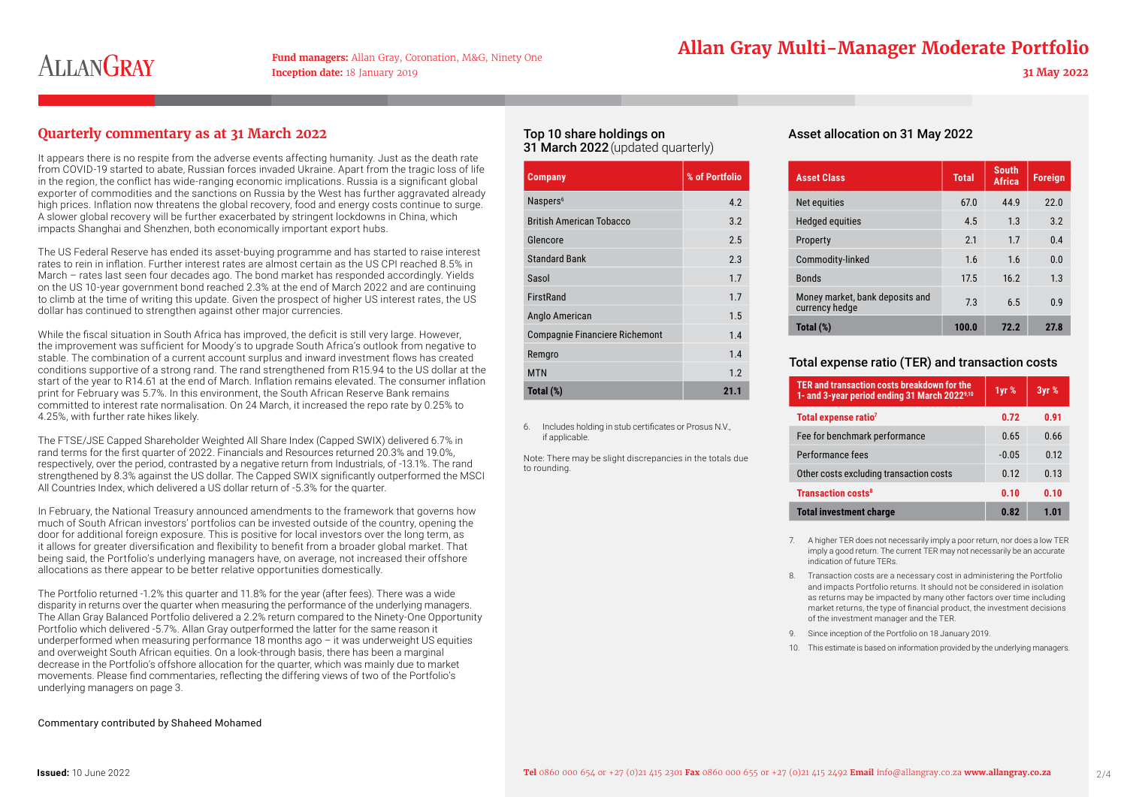# **Allan Gray Multi-Manager Moderate Portfolio**

# **Quarterly commentary as at 31 March 2022**

It appears there is no respite from the adverse events affecting humanity. Just as the death rate from COVID-19 started to abate, Russian forces invaded Ukraine. Apart from the tragic loss of life in the region, the conflict has wide-ranging economic implications. Russia is a significant global exporter of commodities and the sanctions on Russia by the West has further aggravated already high prices. Inflation now threatens the global recovery, food and energy costs continue to surge. A slower global recovery will be further exacerbated by stringent lockdowns in China, which impacts Shanghai and Shenzhen, both economically important export hubs.

The US Federal Reserve has ended its asset-buying programme and has started to raise interest rates to rein in inflation. Further interest rates are almost certain as the US CPI reached 8.5% in March – rates last seen four decades ago. The bond market has responded accordingly. Yields on the US 10-year government bond reached 2.3% at the end of March 2022 and are continuing to climb at the time of writing this update. Given the prospect of higher US interest rates, the US dollar has continued to strengthen against other major currencies.

While the fiscal situation in South Africa has improved, the deficit is still very large. However, the improvement was sufficient for Moody's to upgrade South Africa's outlook from negative to stable. The combination of a current account surplus and inward investment flows has created conditions supportive of a strong rand. The rand strengthened from R15.94 to the US dollar at the start of the year to R14.61 at the end of March. Inflation remains elevated. The consumer inflation print for February was 5.7%. In this environment, the South African Reserve Bank remains committed to interest rate normalisation. On 24 March, it increased the repo rate by 0.25% to 4.25%, with further rate hikes likely.

The FTSE/JSE Capped Shareholder Weighted All Share Index (Capped SWIX) delivered 6.7% in rand terms for the first quarter of 2022. Financials and Resources returned 20.3% and 19.0%, respectively, over the period, contrasted by a negative return from Industrials, of -13.1%. The rand strengthened by 8.3% against the US dollar. The Capped SWIX significantly outperformed the MSCI All Countries Index, which delivered a US dollar return of -5.3% for the quarter.

In February, the National Treasury announced amendments to the framework that governs how much of South African investors' portfolios can be invested outside of the country, opening the door for additional foreign exposure. This is positive for local investors over the long term, as it allows for greater diversification and flexibility to benefit from a broader global market. That being said, the Portfolio's underlying managers have, on average, not increased their offshore allocations as there appear to be better relative opportunities domestically.

The Portfolio returned -1.2% this quarter and 11.8% for the year (after fees). There was a wide disparity in returns over the quarter when measuring the performance of the underlying managers. The Allan Gray Balanced Portfolio delivered a 2.2% return compared to the Ninety-One Opportunity Portfolio which delivered -5.7%. Allan Gray outperformed the latter for the same reason it underperformed when measuring performance 18 months ago – it was underweight US equities and overweight South African equities. On a look-through basis, there has been a marginal decrease in the Portfolio's offshore allocation for the quarter, which was mainly due to market movements. Please find commentaries, reflecting the differing views of two of the Portfolio's underlying managers on page 3.

#### Commentary contributed by Shaheed Mohamed

## Top 10 share holdings on 31 March 2022 (updated quarterly)

| <b>Company</b>                        | % of Portfolio |
|---------------------------------------|----------------|
| Naspers <sup>6</sup>                  | 4.2            |
| <b>British American Tobacco</b>       | 3.2            |
| Glencore                              | 2.5            |
| <b>Standard Bank</b>                  | 2.3            |
| Sasol                                 | 1.7            |
| <b>FirstRand</b>                      | 1.7            |
| Anglo American                        | 1.5            |
| <b>Compagnie Financiere Richemont</b> | 1.4            |
| Remgro                                | 1.4            |
| <b>MTN</b>                            | 1.2            |
| Total (%)                             | 21.1           |

6. Includes holding in stub certificates or Prosus N.V., if applicable.

Note: There may be slight discrepancies in the totals due to rounding.

## Asset allocation on 31 May 2022

| <b>Asset Class</b>                                | <b>Total</b> | <b>South</b><br><b>Africa</b> | <b>Foreign</b> |
|---------------------------------------------------|--------------|-------------------------------|----------------|
| Net equities                                      | 67.0         | 44.9                          | 22.0           |
| <b>Hedged equities</b>                            | 4.5          | 1.3                           | 3.2            |
| Property                                          | 2.1          | 1.7                           | 0.4            |
| Commodity-linked                                  | 1.6          | 1.6                           | 0.0            |
| <b>Bonds</b>                                      | 17.5         | 16.2                          | 1.3            |
| Money market, bank deposits and<br>currency hedge | 7.3          | 6.5                           | 0.9            |
| Total (%)                                         | 100.0        | 72.2                          | 27.8           |

### Total expense ratio (TER) and transaction costs

| TER and transaction costs breakdown for the<br>1- and 3-year period ending 31 March 2022 <sup>9,10</sup> | 1yr %   | 3yr % |
|----------------------------------------------------------------------------------------------------------|---------|-------|
| Total expense ratio <sup>7</sup>                                                                         | 0.72    | 0.91  |
| Fee for benchmark performance                                                                            | 0.65    | 0.66  |
| Performance fees                                                                                         | $-0.05$ | 0.12  |
| Other costs excluding transaction costs                                                                  | 0.12    | 0.13  |
| <b>Transaction costs<sup>8</sup></b>                                                                     | 0.10    | 0.10  |
| <b>Total investment charge</b>                                                                           | 0.82    | 1.01  |

- 7. A higher TER does not necessarily imply a poor return, nor does a low TER imply a good return. The current TER may not necessarily be an accurate indication of future TERs.
- 8. Transaction costs are a necessary cost in administering the Portfolio and impacts Portfolio returns. It should not be considered in isolation as returns may be impacted by many other factors over time including market returns, the type of financial product, the investment decisions of the investment manager and the TER.
- 9. Since inception of the Portfolio on 18 January 2019.
- 10. This estimate is based on information provided by the underlying managers.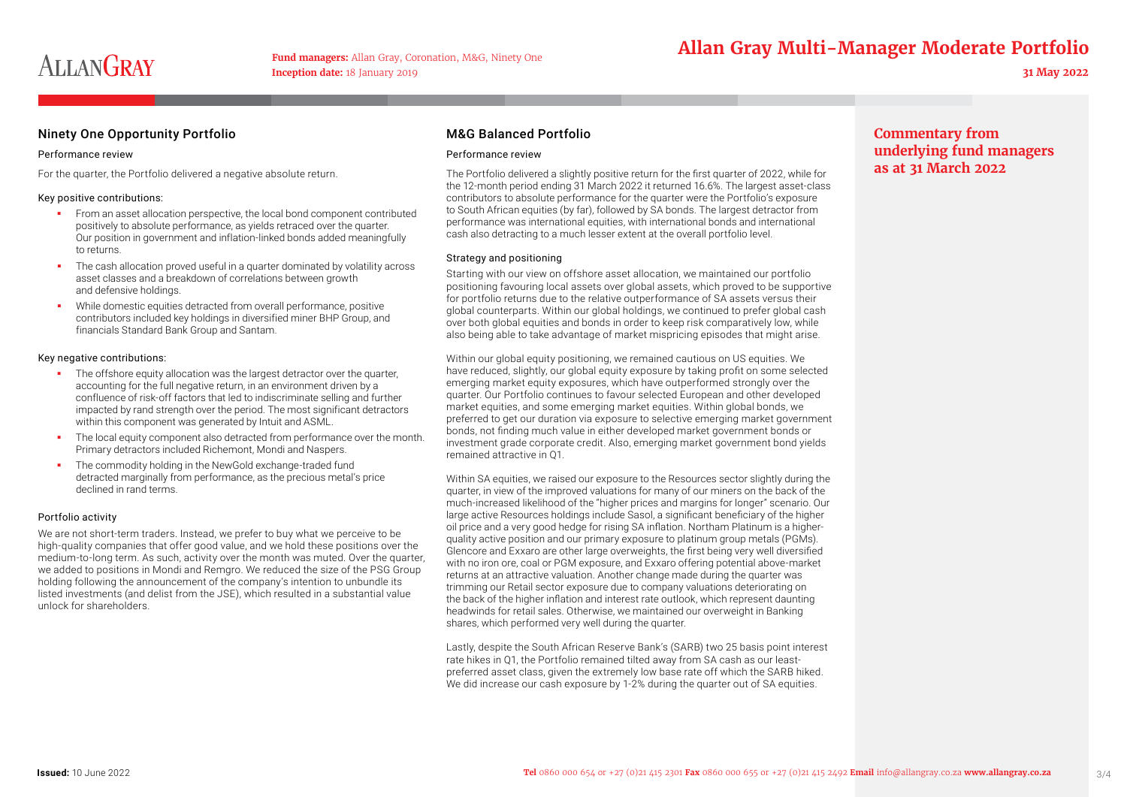# **Allan Gray Multi-Manager Moderate Portfolio**

# Ninety One Opportunity Portfolio

#### Performance review

For the quarter, the Portfolio delivered a negative absolute return.

#### Key positive contributions:

- **From an asset allocation perspective, the local bond component contributed** positively to absolute performance, as yields retraced over the quarter. Our position in government and inflation-linked bonds added meaningfully to returns.
- The cash allocation proved useful in a quarter dominated by volatility across asset classes and a breakdown of correlations between growth and defensive holdings.
- While domestic equities detracted from overall performance, positive contributors included key holdings in diversified miner BHP Group, and financials Standard Bank Group and Santam.

#### Key negative contributions:

- The offshore equity allocation was the largest detractor over the quarter, accounting for the full negative return, in an environment driven by a confluence of risk-off factors that led to indiscriminate selling and further impacted by rand strength over the period. The most significant detractors within this component was generated by Intuit and ASML.
- The local equity component also detracted from performance over the month. Primary detractors included Richemont, Mondi and Naspers.
- **The commodity holding in the NewGold exchange-traded fund** detracted marginally from performance, as the precious metal's price declined in rand terms.

#### Portfolio activity

We are not short-term traders. Instead, we prefer to buy what we perceive to be high-quality companies that offer good value, and we hold these positions over the medium-to-long term. As such, activity over the month was muted. Over the quarter, we added to positions in Mondi and Remgro. We reduced the size of the PSG Group holding following the announcement of the company's intention to unbundle its listed investments (and delist from the JSE), which resulted in a substantial value unlock for shareholders.

# M&G Balanced Portfolio

#### Performance review

The Portfolio delivered a slightly positive return for the first quarter of 2022, while for the 12-month period ending 31 March 2022 it returned 16.6%. The largest asset-class contributors to absolute performance for the quarter were the Portfolio's exposure to South African equities (by far), followed by SA bonds. The largest detractor from performance was international equities, with international bonds and international cash also detracting to a much lesser extent at the overall portfolio level.

#### Strategy and positioning

Starting with our view on offshore asset allocation, we maintained our portfolio positioning favouring local assets over global assets, which proved to be supportive for portfolio returns due to the relative outperformance of SA assets versus their global counterparts. Within our global holdings, we continued to prefer global cash over both global equities and bonds in order to keep risk comparatively low, while also being able to take advantage of market mispricing episodes that might arise.

Within our global equity positioning, we remained cautious on US equities. We have reduced, slightly, our global equity exposure by taking profit on some selected emerging market equity exposures, which have outperformed strongly over the quarter. Our Portfolio continues to favour selected European and other developed market equities, and some emerging market equities. Within global bonds, we preferred to get our duration via exposure to selective emerging market government bonds, not finding much value in either developed market government bonds or investment grade corporate credit. Also, emerging market government bond yields remained attractive in Q1.

Within SA equities, we raised our exposure to the Resources sector slightly during the quarter, in view of the improved valuations for many of our miners on the back of the much-increased likelihood of the "higher prices and margins for longer" scenario. Our large active Resources holdings include Sasol, a significant beneficiary of the higher oil price and a very good hedge for rising SA inflation. Northam Platinum is a higherquality active position and our primary exposure to platinum group metals (PGMs). Glencore and Exxaro are other large overweights, the first being very well diversified with no iron ore, coal or PGM exposure, and Exxaro offering potential above-market returns at an attractive valuation. Another change made during the quarter was trimming our Retail sector exposure due to company valuations deteriorating on the back of the higher inflation and interest rate outlook, which represent daunting headwinds for retail sales. Otherwise, we maintained our overweight in Banking shares, which performed very well during the quarter.

Lastly, despite the South African Reserve Bank's (SARB) two 25 basis point interest rate hikes in Q1, the Portfolio remained tilted away from SA cash as our leastpreferred asset class, given the extremely low base rate off which the SARB hiked. We did increase our cash exposure by 1-2% during the quarter out of SA equities.

# **Commentary from underlying fund managers as at 31 March 2022**